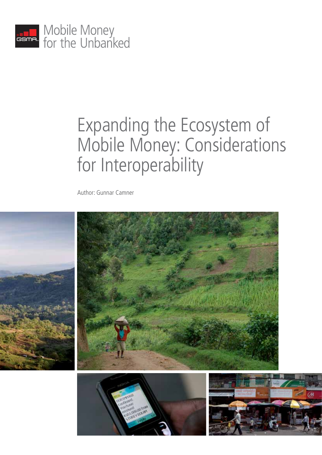

# Expanding the Ecosystem of Mobile Money: Considerations for Interoperability

Author: Gunnar Camner

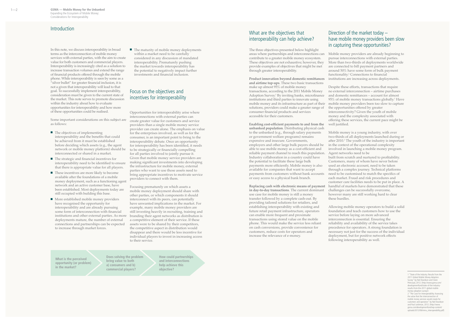# Introduction

In this note, we discuss interoperability in broad terms as the interconnection of mobile money services with external parties, with the aim to create value for both customers and commercial players. Interoperability is increasingly cited as a solution to increase transaction volumes and extend the range of financial products offered through the mobile phone. While interoperability is seen by some as a "silver bullet" for greater financial inclusion, it is not a given that interoperability will lead to that goal. To successfully implement interoperability, consideration must be given to the current state of the market. This note serves to promote discussion within the industry about how to evaluate opportunities for interoperability and how more of these opportunities could be realised.

Some important considerations on this subject are as follows:

- The objectives of implementing interoperability and the benefits that could be achieved from it must be established before deciding which assets (e.g., the agent network or mobile money platform) should be interconnected or shared in a market.
- The strategic and financial incentives for interoperability need to be identified to ensure that there is appropriate value for all players.
- These incentives are more likely to become available after the foundations of a mobile money deployment, such as a functioning agent network and an active customer base, have been established. Most deployments today are still occupied with building this base.
- More established mobile money providers have recognised the opportunity for interoperability and are already pursuing some form of interconnection with financial deployments mature, the number of external connections and partnerships can be expected to increase through market forces.

■ The maturity of mobile money deployments within a market need to be carefully considered in any discussion of mandated interoperability. Prematurely pushing the market towards interoperability has the potential to negatively impact further investments and financial inclusion.

# Focus on the objectives and incentives for interoperability

Opportunities for interoperability arise where interconnections with external parties can create greater value for customers and service providers than a single mobile money service provider can create alone. The emphasis on value for the enterprises involved, as well as for the consumer, is an important point to bring to the interoperability debate. Once an opportunity for interoperability has been identified, it needs to be strategically or financially compelling for all parties involved to jointly pursue it. Given that mobile money service providers are making significant investments into developing the infrastructure for mobile money, external parties who want to use those assets need to bring appropriate incentives to motivate service providers to connect with them.

institutions and other external parties. As more branding their agent networks as distribution is Focusing prematurely on which assets a mobile money deployment should share with other parties, or which components it should interconnect with its peers, can potentially have unwanted implications in the market. For example, many mobile money providers are still investing heavily in recruiting, training and a competitive element of their service. If these assets were to be shared by their competitors, the competitive aspect in distribution would disappear and there would be less incentive for individual players to invest in increasing access to their service.

# What are the objectives that interoperability can help achieve?

The three objectives presented below highlight areas where partnerships and interconnections can contribute to a greater mobile money ecosystem. These objectives are not exhaustive; however, they provide examples of objectives that might be met through greater interoperability.

### **Product innovation beyond domestic remittances and airtime top-ups**. These two basic transactions

make up almost 95% of mobile money transactions, according to the 2011 Mobile Money Adoption Survey.1 By inviting banks, microfinance institutions and third parties to innovate using solutions, providers could make a greater range of consumer financial products and services accessible for their customers.

**Enabling cost-efficient payments to and from the unbanked population**. Distributing physical cash to the unbanked (e.g., through salary payments or government welfare programs) remains expensive and insecure. Governments, employers and other large bulk payers should be able to use mobile money as a cost-efficient and reliable payment channel to reach this population. Industry collaboration in a country could have the potential to facilitate these large bulk payments more efficiently. Mobile money is also available for companies that want to accept payments from customers without bank accounts or easy access to a physical bank branch.

**Replacing cash with electronic means of payment in day-to-day transactions**. The current dominant use case for mobile money is still a money transfer followed by a complete cash-out. By providing tailored solutions for retailers, and establishing interoperability with existing and future retail payment infrastructure, operators can enable more frequent and proximate transactions using stored value on the mobile phone. This would make the service less reliant on cash conversions, provide convenience for customers, reduce costs for operators and increase the relevance of e-money.

mobile money and its infrastructure as part of their mobile money providers been too slow to capture Despite these efforts, transactions that require no external interconnection – airtime purchases and domestic remittances – account for almost  $95\%$  of mobile money transactions globally.<sup>1</sup> Have the opportunities offered by greater interconnectivity? Given the youth of mobile money and the complexity associated with offering these services, the current pace might be well justified.

# Direction of the market today – have mobile money providers been slow in capturing these opportunities?

Mobile money providers are already beginning to pursue interconnections with external parties. More than two-thirds of deployments worldwide are connected to bill payment partners and around 50% have some form of bulk payment functionality.1 Connections to financial institutions are increasing across deployments.

Mobile money is a young industry, with over two-thirds of all deployments launched during or after 2010.1 The youth of the industry is important in the context of the operational complexity involved in launching a mobile money program. Agent networks need to be

built from scratch and nurtured to profitability. Customers, many of whom have never before used an electronic account, need to be taken through a complex journey. Technical platforms need to be customised to match the specifics of each market. Fraud and risk procedures and customer care facilities needs to be put in place. A handful of markets have demonstrated that these challenges can be successfully overcome, however many are still working hard to clear

these hurdles.

Allowing mobile money operators to build a solid foundation and teach customers how to use the service before laying on more advanced interconnection is essential. Ensuring the reliability and availability of the service takes precedence for operators. A strong foundation is necessary not just for the success of the individual deployment, but for positive network effects following interoperability as well.

**What is the perceived opportunity (or problem) in the market?**

**Does solving the problem bring value to both a) consumers and b) commercial players?**

**How could partnerships and interconnections help achieve this objective?**

<sup>1 &</sup>quot;State of the Industry: Results from the 2011 Global Mobile Money Adoption Survey" by Neil Davidson and Claire Pénicaud, 2012. (http://www.gsma.com/ developmentfund/state-of-the-industryresults-from-the-2011-global-mobilemoney-adoption-survey/)

<sup>2 &</sup>quot;The Case For Interoperability: Assessing the value that the interconnection of mobile money services would create for customers and operators" by Neil Davidson and Paul Leishman, 2012. (http://www. gsma.com/developmentfund/wp-content/ uploads/2012/06/mmu\_interoperability.pdf)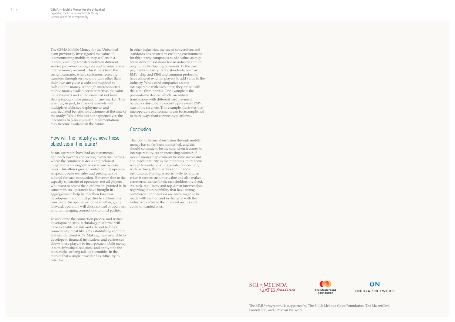The GSMA Mobile Money for the Unbanked team previously investigated the value of interconnecting mobile money wallets in a market, enabling transfers between different service providers to originate and terminate in a mobile money account. This differs from the current scenario, where customers receiving transfers through service providers other than their own are given a code and required to cash-out the money. Although interconnected mobile money wallets seem attractive, the value for consumers and enterprises had not been strong enough to be pursued in any market. This was due, in part, to a lack of markets with multiple established deployments and unarticulated benefits for customers at the time of the study.2 While this has not happened yet, the incentives to pursue similar implementations may become available in the future.

# How will the industry achieve these objectives in the future?

So far, operators have had an incremental approach towards connecting to external parties, where the commercial deals and technical integrations are negotiated on a case by case basis. This allows greater control for the operator, as specific business rules and pricing can be tailored for each connection. However, due to the capacity constraint of operators, not all players who want to access the platform are granted it. In As such, regulatory and top-down interventions some markets, operators have brought in aggregators to help handle their business development with third parties to address this constraint. An open question is whether, going forward, operators will chose control or openness avoid unwanted ones. around managing connections to third parties.

To accelerate the connection process and reduce development costs, technology platforms will have to enable flexible and efficient technical connectivity, most likely by establishing common and standardised APIs. Making them available to developers, financial institutions and businesses allows these players to incorporate mobile money into their business solutions and apply it to the more niche, or long tail, opportunities in the market that a single provider has difficulty to cater for.

In other industries, the use of conventions and standards has created an enabling environment for third party companies to add value, as they could develop solutions for an industry and not only for individual deployments. In the card payments industry today, standards, such as EMV (chip and PIN) and common protocols, have allowed external players to add value to the industry. While card companies are not interoperable with each other, they are so with the same third parties. One example is the point-of-sale device, which can initiate transactions with different card payment networks due to same security processes (EMV), size of the card, etc. This example illustrates that interoperable environments can be accomplished in more ways than connecting platforms.

## **Conclusion**

The road to financial inclusion through mobile money has so far been market-led, and this should continue to be the case when it comes to interoperability. As an increasing number of mobile money deployments become successful and reach maturity in their markets, more focus will go towards pursuing greater connectivity with partners, third parties and financial institutions. Sharing assets is likely to happen when it creates customer value and also makes commercial sense for the stakeholders involved. regarding interoperability that have strong commercial implications are encouraged to be made with caution and in dialogue with the industry to achieve the intended results and